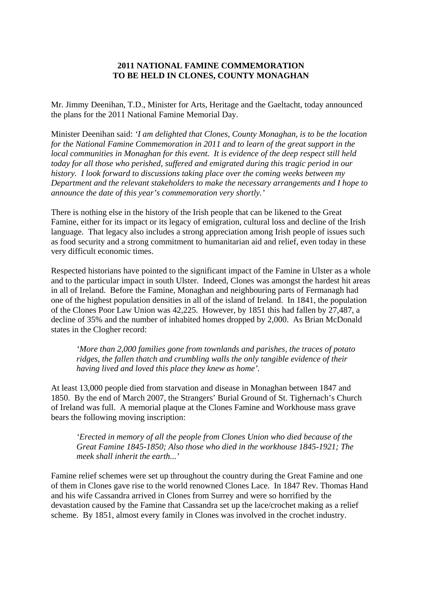## **2011 NATIONAL FAMINE COMMEMORATION TO BE HELD IN CLONES, COUNTY MONAGHAN**

Mr. Jimmy Deenihan, T.D., Minister for Arts, Heritage and the Gaeltacht, today announced the plans for the 2011 National Famine Memorial Day.

Minister Deenihan said: *'I am delighted that Clones, County Monaghan, is to be the location for the National Famine Commemoration in 2011 and to learn of the great support in the local communities in Monaghan for this event. It is evidence of the deep respect still held today for all those who perished, suffered and emigrated during this tragic period in our history. I look forward to discussions taking place over the coming weeks between my Department and the relevant stakeholders to make the necessary arrangements and I hope to announce the date of this year's commemoration very shortly.'*

There is nothing else in the history of the Irish people that can be likened to the Great Famine, either for its impact or its legacy of emigration, cultural loss and decline of the Irish language. That legacy also includes a strong appreciation among Irish people of issues such as food security and a strong commitment to humanitarian aid and relief, even today in these very difficult economic times.

Respected historians have pointed to the significant impact of the Famine in Ulster as a whole and to the particular impact in south Ulster. Indeed, Clones was amongst the hardest hit areas in all of Ireland. Before the Famine, Monaghan and neighbouring parts of Fermanagh had one of the highest population densities in all of the island of Ireland. In 1841, the population of the Clones Poor Law Union was 42,225. However, by 1851 this had fallen by 27,487, a decline of 35% and the number of inhabited homes dropped by 2,000. As Brian McDonald states in the Clogher record:

*'More than 2,000 families gone from townlands and parishes, the traces of potato ridges, the fallen thatch and crumbling walls the only tangible evidence of their having lived and loved this place they knew as home'.*

At least 13,000 people died from starvation and disease in Monaghan between 1847 and 1850. By the end of March 2007, the Strangers' Burial Ground of St. Tighernach's Church of Ireland was full. A memorial plaque at the Clones Famine and Workhouse mass grave bears the following moving inscription:

*'Erected in memory of all the people from Clones Union who died because of the Great Famine 1845-1850; Also those who died in the workhouse 1845-1921; The meek shall inherit the earth...'*

Famine relief schemes were set up throughout the country during the Great Famine and one of them in Clones gave rise to the world renowned Clones Lace. In 1847 Rev. Thomas Hand and his wife Cassandra arrived in Clones from Surrey and were so horrified by the devastation caused by the Famine that Cassandra set up the lace/crochet making as a relief scheme. By 1851, almost every family in Clones was involved in the crochet industry.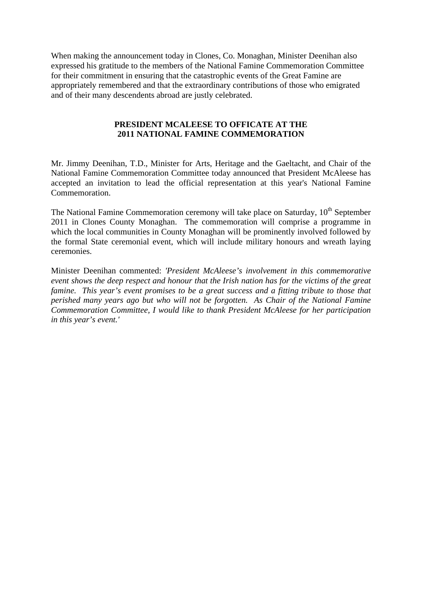When making the announcement today in Clones, Co. Monaghan, Minister Deenihan also expressed his gratitude to the members of the National Famine Commemoration Committee for their commitment in ensuring that the catastrophic events of the Great Famine are appropriately remembered and that the extraordinary contributions of those who emigrated and of their many descendents abroad are justly celebrated.

## **PRESIDENT MCALEESE TO OFFICATE AT THE 2011 NATIONAL FAMINE COMMEMORATION**

Mr. Jimmy Deenihan, T.D., Minister for Arts, Heritage and the Gaeltacht, and Chair of the National Famine Commemoration Committee today announced that President McAleese has accepted an invitation to lead the official representation at this year's National Famine Commemoration.

The National Famine Commemoration ceremony will take place on Saturday, 10<sup>th</sup> September 2011 in Clones County Monaghan. The commemoration will comprise a programme in which the local communities in County Monaghan will be prominently involved followed by the formal State ceremonial event, which will include military honours and wreath laying ceremonies.

Minister Deenihan commented: *'President McAleese's involvement in this commemorative event shows the deep respect and honour that the Irish nation has for the victims of the great famine. This year's event promises to be a great success and a fitting tribute to those that perished many years ago but who will not be forgotten. As Chair of the National Famine Commemoration Committee, I would like to thank President McAleese for her participation in this year's event.'*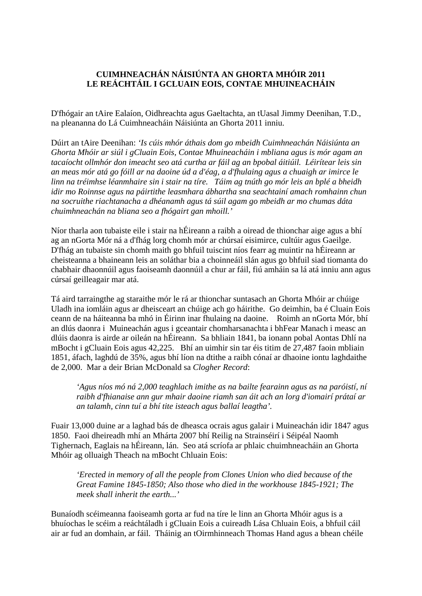## **CUIMHNEACHÁN NÁISIÚNTA AN GHORTA MHÓIR 2011 LE REÁCHTÁIL I GCLUAIN EOIS, CONTAE MHUINEACHÁIN**

D'fhógair an tAire Ealaíon, Oidhreachta agus Gaeltachta, an tUasal Jimmy Deenihan, T.D., na pleananna do Lá Cuimhneacháin Náisiúnta an Ghorta 2011 inniu.

Dúirt an tAire Deenihan: *'Is cúis mhór áthais dom go mbeidh Cuimhneachán Náisiúnta an Ghorta Mhóir ar siúl i gCluain Eois, Contae Mhuineacháin i mbliana agus is mór agam an tacaíocht ollmhór don imeacht seo atá curtha ar fáil ag an bpobal áitiúil. Léirítear leis sin an meas mór atá go fóill ar na daoine úd a d'éag, a d'fhulaing agus a chuaigh ar imirce le linn na tréimhse léanmhaire sin i stair na tíre. Táim ag tnúth go mór leis an bplé a bheidh idir mo Roinnse agus na páirtithe leasmhara ábhartha sna seachtainí amach romhainn chun na socruithe riachtanacha a dhéanamh agus tá súil agam go mbeidh ar mo chumas dáta chuimhneachán na bliana seo a fhógairt gan mhoill.'*

Níor tharla aon tubaiste eile i stair na hÉireann a raibh a oiread de thionchar aige agus a bhí ag an nGorta Mór ná a d'fhág lorg chomh mór ar chúrsaí eisimirce, cultúir agus Gaeilge. D'fhág an tubaiste sin chomh maith go bhfuil tuiscint níos fearr ag muintir na hÉireann ar cheisteanna a bhaineann leis an soláthar bia a choinneáil slán agus go bhfuil siad tiomanta do chabhair dhaonnúil agus faoiseamh daonnúil a chur ar fáil, fiú amháin sa lá atá inniu ann agus cúrsaí geilleagair mar atá.

Tá aird tarraingthe ag staraithe mór le rá ar thionchar suntasach an Ghorta Mhóir ar chúige Uladh ina iomláin agus ar dheisceart an chúige ach go háirithe. Go deimhin, ba é Cluain Eois ceann de na háiteanna ba mhó in Éirinn inar fhulaing na daoine. Roimh an nGorta Mór, bhí an dlús daonra i Muineachán agus i gceantair chomharsanachta i bhFear Manach i measc an dlúis daonra is airde ar oileán na hÉireann. Sa bhliain 1841, ba ionann pobal Aontas Dhlí na mBocht i gCluain Eois agus 42,225. Bhí an uimhir sin tar éis titim de 27,487 faoin mbliain 1851, áfach, laghdú de 35%, agus bhí líon na dtithe a raibh cónaí ar dhaoine iontu laghdaithe de 2,000. Mar a deir Brian McDonald sa *Clogher Record*:

*'Agus níos mó ná 2,000 teaghlach imithe as na bailte fearainn agus as na paróistí, ní raibh d'fhianaise ann gur mhair daoine riamh san áit ach an lorg d'iomairí prátaí ar an talamh, cinn tuí a bhí tite isteach agus ballaí leagtha'.*

Fuair 13,000 duine ar a laghad bás de dheasca ocrais agus galair i Muineachán idir 1847 agus 1850. Faoi dheireadh mhí an Mhárta 2007 bhí Reilig na Strainséirí i Séipéal Naomh Tighernach, Eaglais na hÉireann, lán. Seo atá scríofa ar phlaic chuimhneacháin an Ghorta Mhóir ag olluaigh Theach na mBocht Chluain Eois:

*'Erected in memory of all the people from Clones Union who died because of the Great Famine 1845-1850; Also those who died in the workhouse 1845-1921; The meek shall inherit the earth...'*

Bunaíodh scéimeanna faoiseamh gorta ar fud na tíre le linn an Ghorta Mhóir agus is a bhuíochas le scéim a reáchtáladh i gCluain Eois a cuireadh Lása Chluain Eois, a bhfuil cáil air ar fud an domhain, ar fáil. Tháinig an tOirmhinneach Thomas Hand agus a bhean chéile